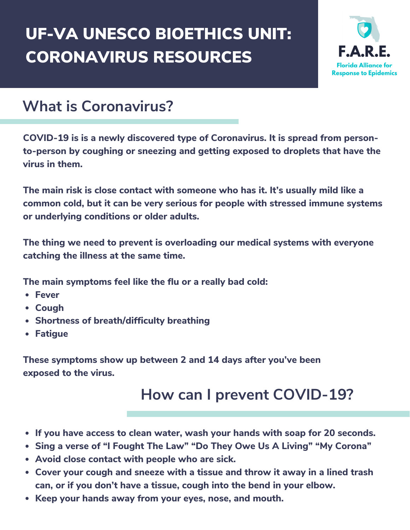# CORONAVIRUS RESOURCES UF-VA UNESCO BIOETHICS UNIT:



### **What is Coronavirus?**

**COVID-19 is is a newly discovered type of Coronavirus. It is spread from personto-person by coughing or sneezing and getting exposed to droplets that have the virus in them.**

**The main risk is close contact with someone who has it. It's usually mild like a common cold, but it can be very serious for people with stressed immune systems or underlying conditions or older adults.**

**The thing we need to prevent is overloading our medical systems with everyone catching the illness at the same time.**

**The main symptoms feel like the flu or a really bad cold:**

- **Fever**
- **Cough**
- **Shortness of breath/difficulty breathing**
- **Fatigue**

**These symptoms show up between 2 and 14 days after you've been exposed to the virus.**

### **How can I prevent COVID-19?**

- **If you have access to clean water, wash your hands with soap for 20 seconds.**
- **Sing a verse of "I Fought The Law" "Do They Owe Us A Living" "My Corona"**
- **Avoid close contact with people who are sick.**
- **Cover your cough and sneeze with a tissue and throw it away in a lined trash can, or if you don't have a tissue, cough into the bend in your elbow.**
- **Keep your hands away from your eyes, nose, and mouth.**